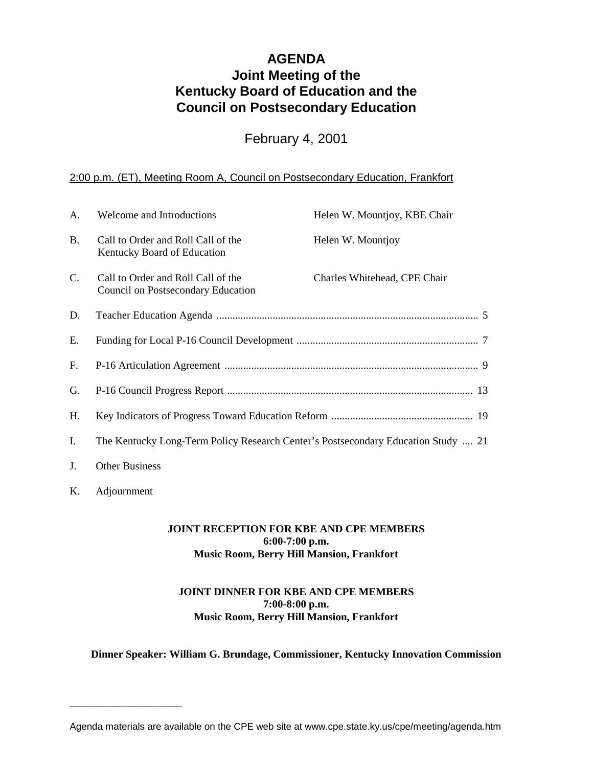# **AGENDA Joint Meeting of the Kentucky Board of Education and the Council on Postsecondary Education**

February 4, 2001

#### 2:00 p.m. (ET), Meeting Room A, Council on Postsecondary Education, Frankfort

| A.             | Welcome and Introductions                                                         | Helen W. Mountjoy, KBE Chair |  |
|----------------|-----------------------------------------------------------------------------------|------------------------------|--|
| <b>B.</b>      | Call to Order and Roll Call of the<br>Kentucky Board of Education                 | Helen W. Mountjoy            |  |
| $\mathbf{C}$ . | Call to Order and Roll Call of the<br>Council on Postsecondary Education          | Charles Whitehead, CPE Chair |  |
| D.             |                                                                                   |                              |  |
| E.             |                                                                                   |                              |  |
| F.             |                                                                                   |                              |  |
| G.             |                                                                                   |                              |  |
| H.             |                                                                                   |                              |  |
| $\mathbf{I}$ . | The Kentucky Long-Term Policy Research Center's Postsecondary Education Study  21 |                              |  |
| J.             | <b>Other Business</b>                                                             |                              |  |

K. Adjournment

\_\_\_\_\_\_\_\_\_\_\_\_\_\_\_\_\_\_\_\_\_

#### **JOINT RECEPTION FOR KBE AND CPE MEMBERS 6:00-7:00 p.m. Music Room, Berry Hill Mansion, Frankfort**

#### **JOINT DINNER FOR KBE AND CPE MEMBERS 7:00-8:00 p.m. Music Room, Berry Hill Mansion, Frankfort**

#### **Dinner Speaker: William G. Brundage, Commissioner, Kentucky Innovation Commission**

Agenda materials are available on the CPE web site at [www.cpe.state.ky.us/](http://www.cpe.state.ky.us/)cpe/meeting/agenda.htm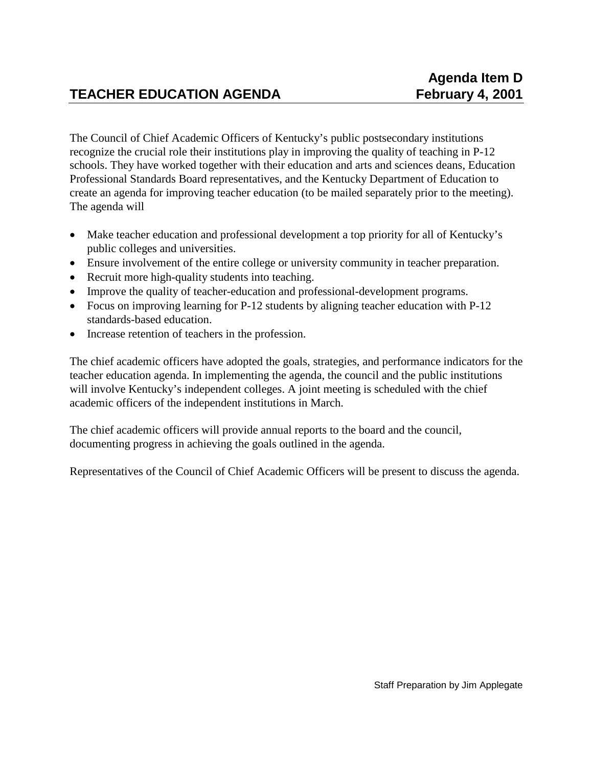# **TEACHER EDUCATION AGENDA February 4, 2001**

The Council of Chief Academic Officers of Kentucky's public postsecondary institutions recognize the crucial role their institutions play in improving the quality of teaching in P-12 schools. They have worked together with their education and arts and sciences deans, Education Professional Standards Board representatives, and the Kentucky Department of Education to create an agenda for improving teacher education (to be mailed separately prior to the meeting). The agenda will

- Make teacher education and professional development a top priority for all of Kentucky's public colleges and universities.
- Ensure involvement of the entire college or university community in teacher preparation.
- Recruit more high-quality students into teaching.
- Improve the quality of teacher-education and professional-development programs.
- Focus on improving learning for P-12 students by aligning teacher education with P-12 standards-based education.
- Increase retention of teachers in the profession.

The chief academic officers have adopted the goals, strategies, and performance indicators for the teacher education agenda. In implementing the agenda, the council and the public institutions will involve Kentucky's independent colleges. A joint meeting is scheduled with the chief academic officers of the independent institutions in March.

The chief academic officers will provide annual reports to the board and the council, documenting progress in achieving the goals outlined in the agenda.

Representatives of the Council of Chief Academic Officers will be present to discuss the agenda.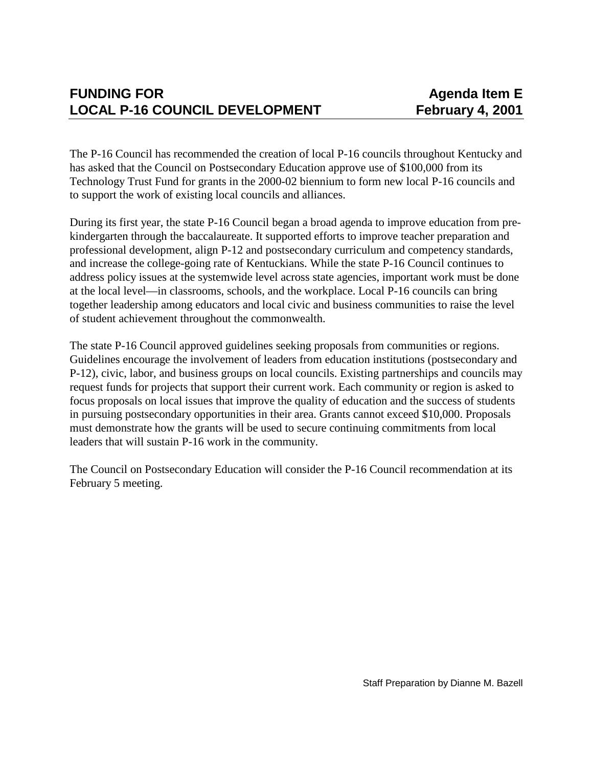The P-16 Council has recommended the creation of local P-16 councils throughout Kentucky and has asked that the Council on Postsecondary Education approve use of \$100,000 from its Technology Trust Fund for grants in the 2000-02 biennium to form new local P-16 councils and to support the work of existing local councils and alliances.

During its first year, the state P-16 Council began a broad agenda to improve education from prekindergarten through the baccalaureate. It supported efforts to improve teacher preparation and professional development, align P-12 and postsecondary curriculum and competency standards, and increase the college-going rate of Kentuckians. While the state P-16 Council continues to address policy issues at the systemwide level across state agencies, important work must be done at the local level—in classrooms, schools, and the workplace. Local P-16 councils can bring together leadership among educators and local civic and business communities to raise the level of student achievement throughout the commonwealth.

The state P-16 Council approved guidelines seeking proposals from communities or regions. Guidelines encourage the involvement of leaders from education institutions (postsecondary and P-12), civic, labor, and business groups on local councils. Existing partnerships and councils may request funds for projects that support their current work. Each community or region is asked to focus proposals on local issues that improve the quality of education and the success of students in pursuing postsecondary opportunities in their area. Grants cannot exceed \$10,000. Proposals must demonstrate how the grants will be used to secure continuing commitments from local leaders that will sustain P-16 work in the community.

The Council on Postsecondary Education will consider the P-16 Council recommendation at its February 5 meeting.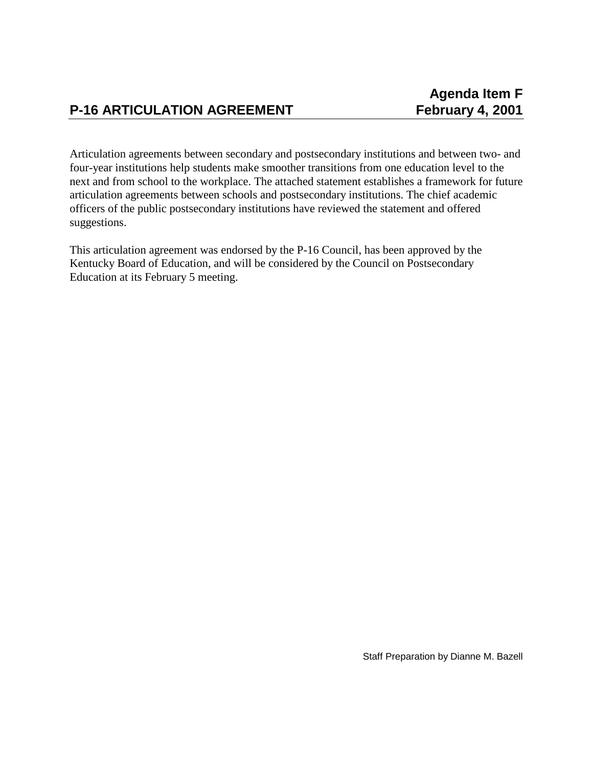# **P-16 ARTICULATION AGREEMENT** February 4, 2001

Articulation agreements between secondary and postsecondary institutions and between two- and four-year institutions help students make smoother transitions from one education level to the next and from school to the workplace. The attached statement establishes a framework for future articulation agreements between schools and postsecondary institutions. The chief academic officers of the public postsecondary institutions have reviewed the statement and offered suggestions.

This articulation agreement was endorsed by the P-16 Council, has been approved by the Kentucky Board of Education, and will be considered by the Council on Postsecondary Education at its February 5 meeting.

Staff Preparation by Dianne M. Bazell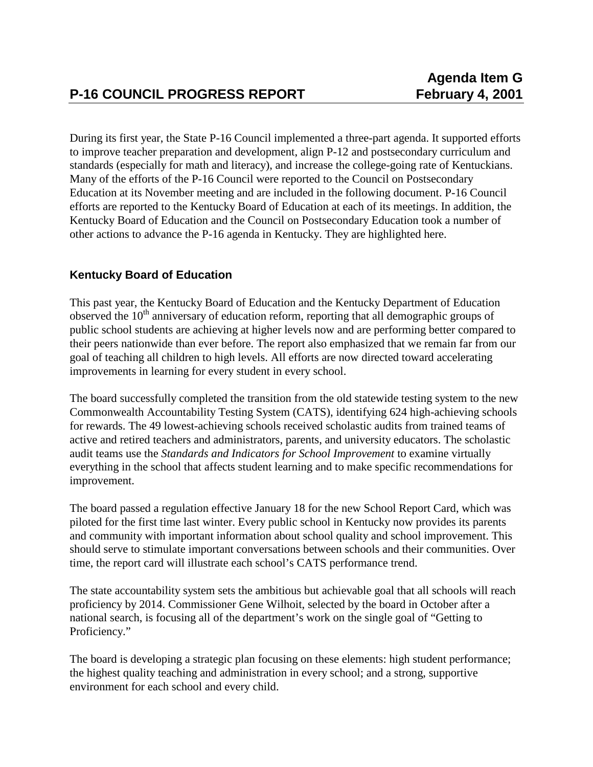During its first year, the State P-16 Council implemented a three-part agenda. It supported efforts to improve teacher preparation and development, align P-12 and postsecondary curriculum and standards (especially for math and literacy), and increase the college-going rate of Kentuckians. Many of the efforts of the P-16 Council were reported to the Council on Postsecondary Education at its November meeting and are included in the following document. P-16 Council efforts are reported to the Kentucky Board of Education at each of its meetings. In addition, the Kentucky Board of Education and the Council on Postsecondary Education took a number of other actions to advance the P-16 agenda in Kentucky. They are highlighted here.

### **Kentucky Board of Education**

This past year, the Kentucky Board of Education and the Kentucky Department of Education observed the 10<sup>th</sup> anniversary of education reform, reporting that all demographic groups of public school students are achieving at higher levels now and are performing better compared to their peers nationwide than ever before. The report also emphasized that we remain far from our goal of teaching all children to high levels. All efforts are now directed toward accelerating improvements in learning for every student in every school.

The board successfully completed the transition from the old statewide testing system to the new Commonwealth Accountability Testing System (CATS), identifying 624 high-achieving schools for rewards. The 49 lowest-achieving schools received scholastic audits from trained teams of active and retired teachers and administrators, parents, and university educators. The scholastic audit teams use the *Standards and Indicators for School Improvement* to examine virtually everything in the school that affects student learning and to make specific recommendations for improvement.

The board passed a regulation effective January 18 for the new School Report Card, which was piloted for the first time last winter. Every public school in Kentucky now provides its parents and community with important information about school quality and school improvement. This should serve to stimulate important conversations between schools and their communities. Over time, the report card will illustrate each school's CATS performance trend.

The state accountability system sets the ambitious but achievable goal that all schools will reach proficiency by 2014. Commissioner Gene Wilhoit, selected by the board in October after a national search, is focusing all of the department's work on the single goal of "Getting to Proficiency."

The board is developing a strategic plan focusing on these elements: high student performance; the highest quality teaching and administration in every school; and a strong, supportive environment for each school and every child.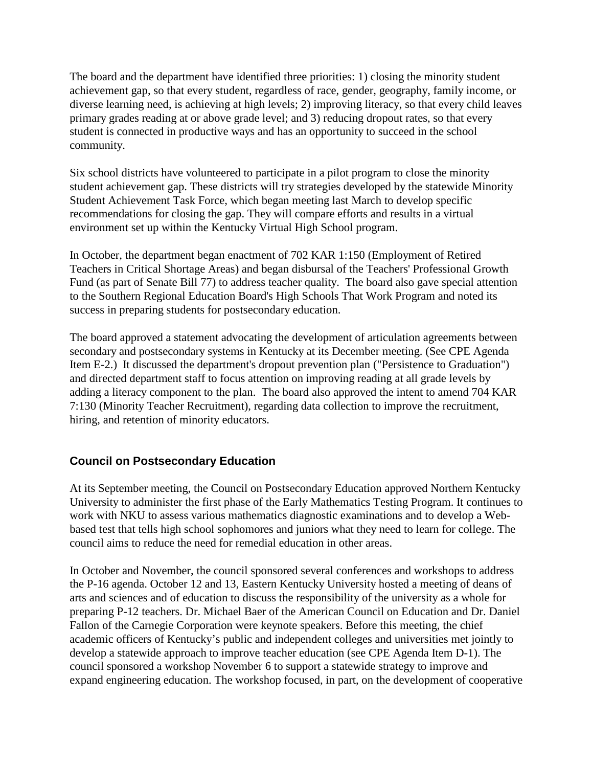The board and the department have identified three priorities: 1) closing the minority student achievement gap, so that every student, regardless of race, gender, geography, family income, or diverse learning need, is achieving at high levels; 2) improving literacy, so that every child leaves primary grades reading at or above grade level; and 3) reducing dropout rates, so that every student is connected in productive ways and has an opportunity to succeed in the school community.

Six school districts have volunteered to participate in a pilot program to close the minority student achievement gap. These districts will try strategies developed by the statewide Minority Student Achievement Task Force, which began meeting last March to develop specific recommendations for closing the gap. They will compare efforts and results in a virtual environment set up within the Kentucky Virtual High School program.

In October, the department began enactment of 702 KAR 1:150 (Employment of Retired Teachers in Critical Shortage Areas) and began disbursal of the Teachers' Professional Growth Fund (as part of Senate Bill 77) to address teacher quality. The board also gave special attention to the Southern Regional Education Board's High Schools That Work Program and noted its success in preparing students for postsecondary education.

The board approved a statement advocating the development of articulation agreements between secondary and postsecondary systems in Kentucky at its December meeting. (See CPE Agenda Item E-2.) It discussed the department's dropout prevention plan ("Persistence to Graduation") and directed department staff to focus attention on improving reading at all grade levels by adding a literacy component to the plan. The board also approved the intent to amend 704 KAR 7:130 (Minority Teacher Recruitment), regarding data collection to improve the recruitment, hiring, and retention of minority educators.

### **Council on Postsecondary Education**

At its September meeting, the Council on Postsecondary Education approved Northern Kentucky University to administer the first phase of the Early Mathematics Testing Program. It continues to work with NKU to assess various mathematics diagnostic examinations and to develop a Webbased test that tells high school sophomores and juniors what they need to learn for college. The council aims to reduce the need for remedial education in other areas.

In October and November, the council sponsored several conferences and workshops to address the P-16 agenda. October 12 and 13, Eastern Kentucky University hosted a meeting of deans of arts and sciences and of education to discuss the responsibility of the university as a whole for preparing P-12 teachers. Dr. Michael Baer of the American Council on Education and Dr. Daniel Fallon of the Carnegie Corporation were keynote speakers. Before this meeting, the chief academic officers of Kentucky's public and independent colleges and universities met jointly to develop a statewide approach to improve teacher education (see CPE Agenda Item D-1). The council sponsored a workshop November 6 to support a statewide strategy to improve and expand engineering education. The workshop focused, in part, on the development of cooperative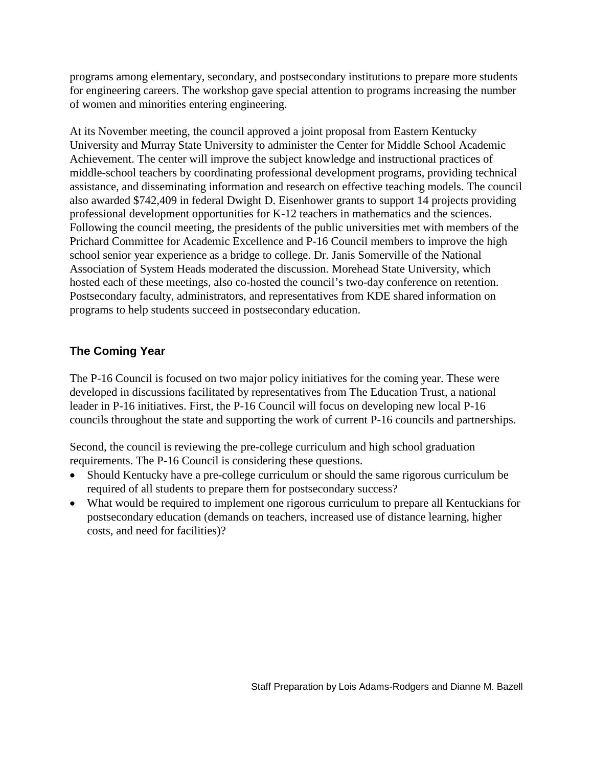programs among elementary, secondary, and postsecondary institutions to prepare more students for engineering careers. The workshop gave special attention to programs increasing the number of women and minorities entering engineering.

At its November meeting, the council approved a joint proposal from Eastern Kentucky University and Murray State University to administer the Center for Middle School Academic Achievement. The center will improve the subject knowledge and instructional practices of middle-school teachers by coordinating professional development programs, providing technical assistance, and disseminating information and research on effective teaching models. The council also awarded \$742,409 in federal Dwight D. Eisenhower grants to support 14 projects providing professional development opportunities for K-12 teachers in mathematics and the sciences. Following the council meeting, the presidents of the public universities met with members of the Prichard Committee for Academic Excellence and P-16 Council members to improve the high school senior year experience as a bridge to college. Dr. Janis Somerville of the National Association of System Heads moderated the discussion. Morehead State University, which hosted each of these meetings, also co-hosted the council's two-day conference on retention. Postsecondary faculty, administrators, and representatives from KDE shared information on programs to help students succeed in postsecondary education.

### **The Coming Year**

The P-16 Council is focused on two major policy initiatives for the coming year. These were developed in discussions facilitated by representatives from The Education Trust, a national leader in P-16 initiatives. First, the P-16 Council will focus on developing new local P-16 councils throughout the state and supporting the work of current P-16 councils and partnerships.

Second, the council is reviewing the pre-college curriculum and high school graduation requirements. The P-16 Council is considering these questions.

- Should Kentucky have a pre-college curriculum or should the same rigorous curriculum be required of all students to prepare them for postsecondary success?
- What would be required to implement one rigorous curriculum to prepare all Kentuckians for postsecondary education (demands on teachers, increased use of distance learning, higher costs, and need for facilities)?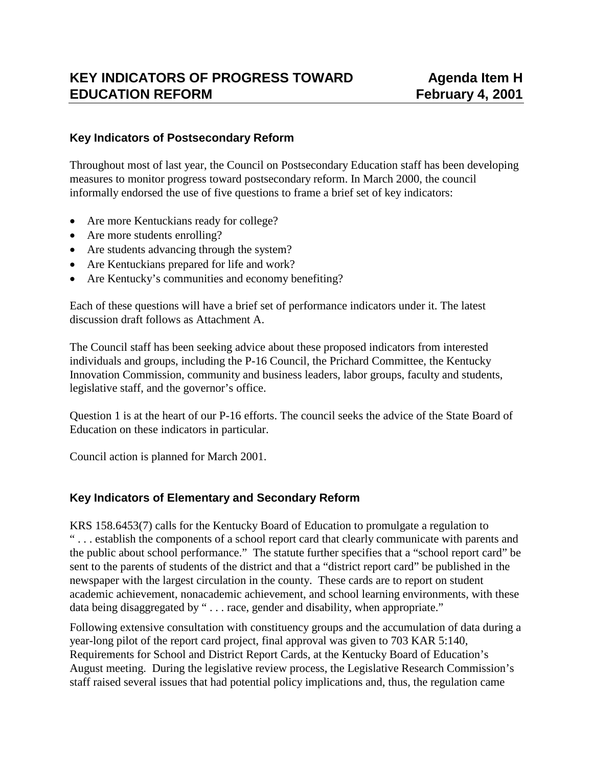#### **Key Indicators of Postsecondary Reform**

Throughout most of last year, the Council on Postsecondary Education staff has been developing measures to monitor progress toward postsecondary reform. In March 2000, the council informally endorsed the use of five questions to frame a brief set of key indicators:

- Are more Kentuckians ready for college?
- Are more students enrolling?
- Are students advancing through the system?
- Are Kentuckians prepared for life and work?
- Are Kentucky's communities and economy benefiting?

Each of these questions will have a brief set of performance indicators under it. The latest discussion draft follows as Attachment A.

The Council staff has been seeking advice about these proposed indicators from interested individuals and groups, including the P-16 Council, the Prichard Committee, the Kentucky Innovation Commission, community and business leaders, labor groups, faculty and students, legislative staff, and the governor's office.

Question 1 is at the heart of our P-16 efforts. The council seeks the advice of the State Board of Education on these indicators in particular.

Council action is planned for March 2001.

### **Key Indicators of Elementary and Secondary Reform**

KRS 158.6453(7) calls for the Kentucky Board of Education to promulgate a regulation to " . . . establish the components of a school report card that clearly communicate with parents and the public about school performance." The statute further specifies that a "school report card" be sent to the parents of students of the district and that a "district report card" be published in the newspaper with the largest circulation in the county. These cards are to report on student academic achievement, nonacademic achievement, and school learning environments, with these data being disaggregated by "... race, gender and disability, when appropriate."

Following extensive consultation with constituency groups and the accumulation of data during a year-long pilot of the report card project, final approval was given to 703 KAR 5:140, Requirements for School and District Report Cards, at the Kentucky Board of Education's August meeting. During the legislative review process, the Legislative Research Commission's staff raised several issues that had potential policy implications and, thus, the regulation came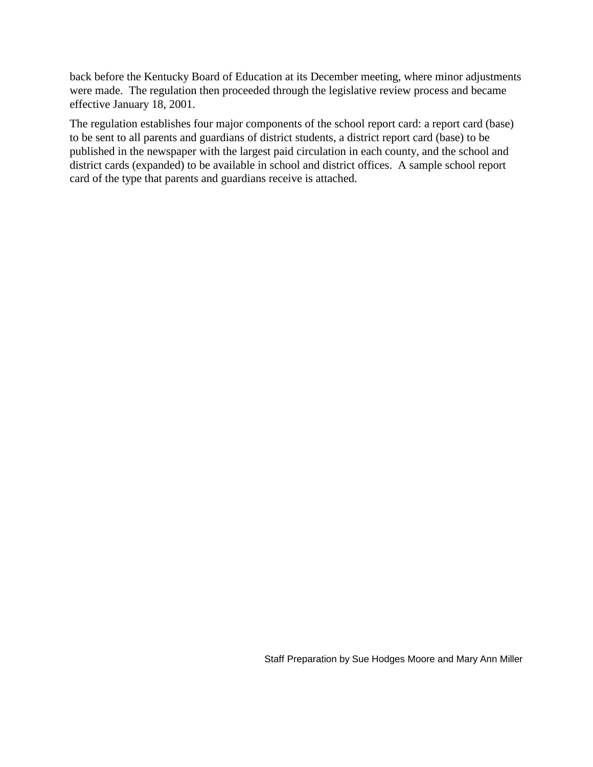back before the Kentucky Board of Education at its December meeting, where minor adjustments were made. The regulation then proceeded through the legislative review process and became effective January 18, 2001.

The regulation establishes four major components of the school report card: a report card (base) to be sent to all parents and guardians of district students, a district report card (base) to be published in the newspaper with the largest paid circulation in each county, and the school and district cards (expanded) to be available in school and district offices. A sample school report card of the type that parents and guardians receive is attached.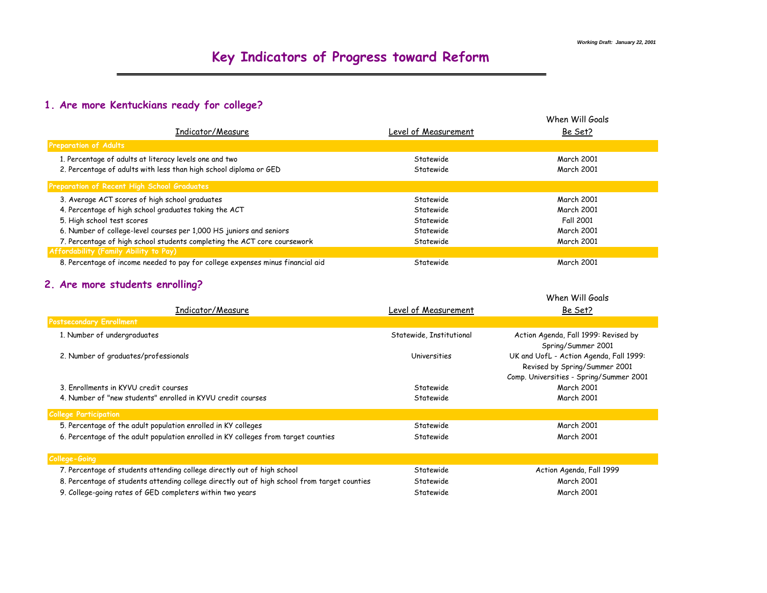# **Key Indicators of Progress toward Reform**

### **1. Are more Kentuckians ready for college?**

|                                                                                |                      | When Will Goals   |
|--------------------------------------------------------------------------------|----------------------|-------------------|
| Indicator/Measure                                                              | Level of Measurement | Be Set?           |
| <b>Preparation of Adults</b>                                                   |                      |                   |
| 1. Percentage of adults at literacy levels one and two                         | Statewide            | March 2001        |
| 2. Percentage of adults with less than high school diploma or GED              | Statewide            | <b>March 2001</b> |
| Preparation of Recent High School Graduates                                    |                      |                   |
| 3. Average ACT scores of high school graduates                                 | Statewide            | <b>March 2001</b> |
| 4. Percentage of high school graduates taking the ACT                          | Statewide            | <b>March 2001</b> |
| 5. High school test scores                                                     | Statewide            | Fall 2001         |
| 6. Number of college-level courses per 1,000 HS juniors and seniors            | Statewide            | <b>March 2001</b> |
| 7. Percentage of high school students completing the ACT core coursework       | Statewide            | <b>March 2001</b> |
| Affordability (Family Ability to Pay)                                          |                      |                   |
| 8. Percentage of income needed to pay for college expenses minus financial aid | Statewide            | March 2001        |

# **2. Are more students enrolling?**

|                                                                                              |                          | When Will Goals                                                                                                     |
|----------------------------------------------------------------------------------------------|--------------------------|---------------------------------------------------------------------------------------------------------------------|
| Indicator/Measure                                                                            | Level of Measurement     | Be Set?                                                                                                             |
| <b>Postsecondary Enrollment</b>                                                              |                          |                                                                                                                     |
| 1. Number of undergraduates                                                                  | Statewide, Institutional | Action Agenda, Fall 1999: Revised by<br>Spring/Summer 2001                                                          |
| 2. Number of graduates/professionals                                                         | Universities             | UK and UofL - Action Agenda, Fall 1999:<br>Revised by Spring/Summer 2001<br>Comp. Universities - Spring/Summer 2001 |
| 3. Enrollments in KYVU credit courses                                                        | Statewide                | <b>March 2001</b>                                                                                                   |
| 4. Number of "new students" enrolled in KYVU credit courses                                  | Statewide                | March 2001                                                                                                          |
| <b>College Participation</b>                                                                 |                          |                                                                                                                     |
| 5. Percentage of the adult population enrolled in KY colleges                                | Statewide                | <b>March 2001</b>                                                                                                   |
| 6. Percentage of the adult population enrolled in KY colleges from target counties           | Statewide                | <b>March 2001</b>                                                                                                   |
| College-Going                                                                                |                          |                                                                                                                     |
| 7. Percentage of students attending college directly out of high school                      | Statewide                | Action Agenda, Fall 1999                                                                                            |
| 8. Percentage of students attending college directly out of high school from target counties | Statewide                | <b>March 2001</b>                                                                                                   |
| 9. College-going rates of GED completers within two years                                    | Statewide                | <b>March 2001</b>                                                                                                   |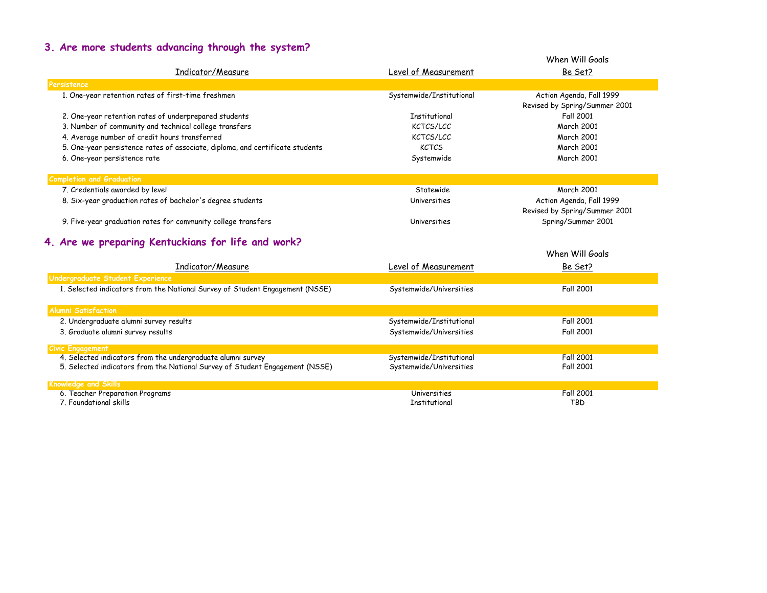# **3. Are more students advancing through the system?**

|                                                                                                                                             |                                                     | When Will Goals                                           |
|---------------------------------------------------------------------------------------------------------------------------------------------|-----------------------------------------------------|-----------------------------------------------------------|
| Indicator/Measure                                                                                                                           | Level of Measurement                                | Be Set?                                                   |
| Persistence                                                                                                                                 |                                                     |                                                           |
| 1. One-year retention rates of first-time freshmen                                                                                          | Systemwide/Institutional                            | Action Agenda, Fall 1999<br>Revised by Spring/Summer 2001 |
| 2. One-year retention rates of underprepared students                                                                                       | <b>Institutional</b>                                | Fall 2001                                                 |
| 3. Number of community and technical college transfers                                                                                      | <b>KCTCS/LCC</b>                                    | March 2001                                                |
| 4. Average number of credit hours transferred                                                                                               | <b>KCTCS/LCC</b>                                    | <b>March 2001</b>                                         |
| 5. One-year persistence rates of associate, diploma, and certificate students                                                               | <b>KCTCS</b>                                        | <b>March 2001</b>                                         |
| 6. One-year persistence rate                                                                                                                | Systemwide                                          | <b>March 2001</b>                                         |
| <b>Completion and Graduation</b>                                                                                                            |                                                     |                                                           |
| 7. Credentials awarded by level                                                                                                             | Statewide                                           | <b>March 2001</b>                                         |
| 8. Six-year graduation rates of bachelor's degree students                                                                                  | Universities                                        | Action Agenda, Fall 1999<br>Revised by Spring/Summer 2001 |
| 9. Five-year graduation rates for community college transfers                                                                               | Universities                                        | Spring/Summer 2001                                        |
| 4. Are we preparing Kentuckians for life and work?                                                                                          |                                                     |                                                           |
|                                                                                                                                             |                                                     | When Will Goals                                           |
| Indicator/Measure                                                                                                                           | Level of Measurement                                | Be Set?                                                   |
| Undergraduate Student Experience                                                                                                            |                                                     |                                                           |
| 1. Selected indicators from the National Survey of Student Engagement (NSSE)                                                                | Systemwide/Universities                             | Fall 2001                                                 |
| <b>Alumni Satisfaction</b>                                                                                                                  |                                                     |                                                           |
| 2. Undergraduate alumni survey results                                                                                                      | Systemwide/Institutional                            | Fall 2001                                                 |
| 3. Graduate alumni survey results                                                                                                           | Systemwide/Universities                             | Fall 2001                                                 |
| <b>Civic Engagement</b>                                                                                                                     |                                                     |                                                           |
| 4. Selected indicators from the undergraduate alumni survey<br>5. Selected indicators from the National Survey of Student Engagement (NSSE) | Systemwide/Institutional<br>Systemwide/Universities | Fall 2001<br>Fall 2001                                    |

| <b>Knowledge and Skills</b>  |               |            |
|------------------------------|---------------|------------|
| Teacher Preparation Programs | Universities  | Fall 2001  |
| . Foundational skills        | Enstitutional | <b>TBL</b> |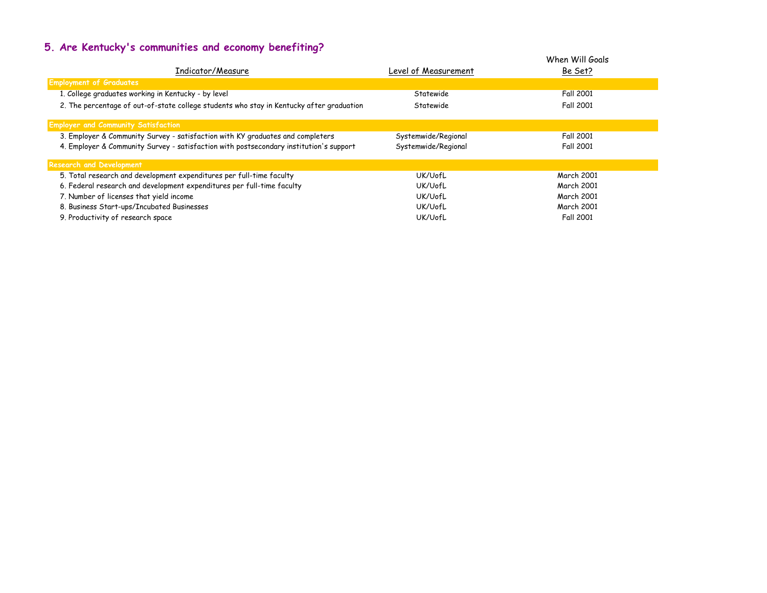### **5. Are Kentucky's communities and economy benefiting?**

| <b>Employment of Graduates</b><br>1. College graduates working in Kentucky - by level<br>Fall 2001<br>Statewide<br>2. The percentage of out-of-state college students who stay in Kentucky after graduation<br>Fall 2001<br>Statewide<br><b>Employer and Community Satisfaction</b><br>3. Employer & Community Survey - satisfaction with KY graduates and completers<br>Systemwide/Regional<br>Fall 2001<br>4. Employer & Community Survey - satisfaction with postsecondary institution's support<br>Systemwide/Regional<br>Fall 2001<br><b>Research and Development</b><br>5. Total research and development expenditures per full-time faculty<br>UK/UofL<br>March 2001<br>6. Federal research and development expenditures per full-time faculty<br>UK/UofL<br><b>March 2001</b><br>7. Number of licenses that yield income<br>March 2001<br>UK/UofL<br>8. Business Start-ups/Incubated Businesses<br>UK/UofL<br><b>March 2001</b> |                                   |                      | When Will Goals |
|-----------------------------------------------------------------------------------------------------------------------------------------------------------------------------------------------------------------------------------------------------------------------------------------------------------------------------------------------------------------------------------------------------------------------------------------------------------------------------------------------------------------------------------------------------------------------------------------------------------------------------------------------------------------------------------------------------------------------------------------------------------------------------------------------------------------------------------------------------------------------------------------------------------------------------------------|-----------------------------------|----------------------|-----------------|
|                                                                                                                                                                                                                                                                                                                                                                                                                                                                                                                                                                                                                                                                                                                                                                                                                                                                                                                                         | Indicator/Measure                 | Level of Measurement | Be Set?         |
|                                                                                                                                                                                                                                                                                                                                                                                                                                                                                                                                                                                                                                                                                                                                                                                                                                                                                                                                         |                                   |                      |                 |
|                                                                                                                                                                                                                                                                                                                                                                                                                                                                                                                                                                                                                                                                                                                                                                                                                                                                                                                                         |                                   |                      |                 |
|                                                                                                                                                                                                                                                                                                                                                                                                                                                                                                                                                                                                                                                                                                                                                                                                                                                                                                                                         |                                   |                      |                 |
|                                                                                                                                                                                                                                                                                                                                                                                                                                                                                                                                                                                                                                                                                                                                                                                                                                                                                                                                         |                                   |                      |                 |
|                                                                                                                                                                                                                                                                                                                                                                                                                                                                                                                                                                                                                                                                                                                                                                                                                                                                                                                                         |                                   |                      |                 |
|                                                                                                                                                                                                                                                                                                                                                                                                                                                                                                                                                                                                                                                                                                                                                                                                                                                                                                                                         |                                   |                      |                 |
|                                                                                                                                                                                                                                                                                                                                                                                                                                                                                                                                                                                                                                                                                                                                                                                                                                                                                                                                         |                                   |                      |                 |
|                                                                                                                                                                                                                                                                                                                                                                                                                                                                                                                                                                                                                                                                                                                                                                                                                                                                                                                                         |                                   |                      |                 |
|                                                                                                                                                                                                                                                                                                                                                                                                                                                                                                                                                                                                                                                                                                                                                                                                                                                                                                                                         |                                   |                      |                 |
|                                                                                                                                                                                                                                                                                                                                                                                                                                                                                                                                                                                                                                                                                                                                                                                                                                                                                                                                         |                                   |                      |                 |
|                                                                                                                                                                                                                                                                                                                                                                                                                                                                                                                                                                                                                                                                                                                                                                                                                                                                                                                                         |                                   |                      |                 |
|                                                                                                                                                                                                                                                                                                                                                                                                                                                                                                                                                                                                                                                                                                                                                                                                                                                                                                                                         | 9. Productivity of research space | UK/UofL              | Fall 2001       |